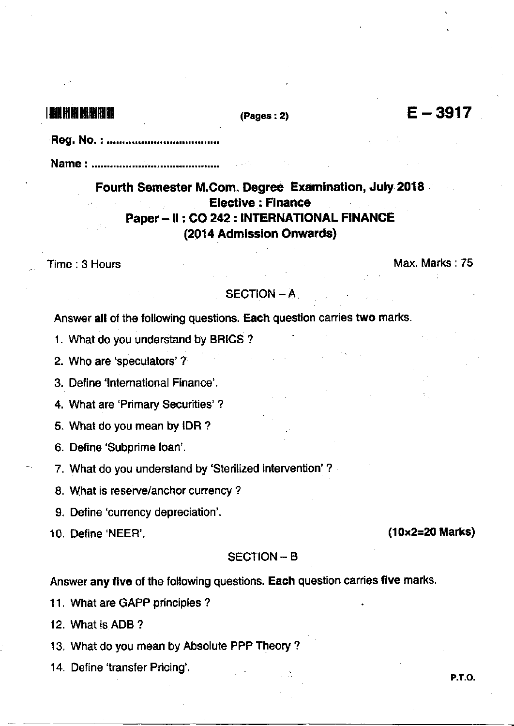# 

#### $(Pages: 2)$

- 
- 

Fourth Semester M.Com. Degree Examination, July 2018 **Elective: Finance** Paper - II : CO 242 : INTERNATIONAL FINANCE (2014 Admission Onwards)

Time: 3 Hours

Max. Marks: 75

#### **SECTION - A**

Answer all of the following questions. Each question carries two marks.

1. What do you understand by BRICS?

2. Who are 'speculators'?

3. Define 'International Finance'.

4. What are 'Primary Securities'?

5. What do you mean by IDR?

6. Define 'Subprime loan'.

7. What do you understand by 'Sterilized intervention' ?

8. What is reserve/anchor currency?

9. Define 'currency depreciation'.

10. Define 'NEER'.

### **SECTION - B**

Answer any five of the following questions. Each question carries five marks.

11. What are GAPP principles?

12. What is ADB?

13. What do you mean by Absolute PPP Theory?

14. Define 'transfer Pricing'.

 $(10\times2=20$  Marks)

 $E - 3917$